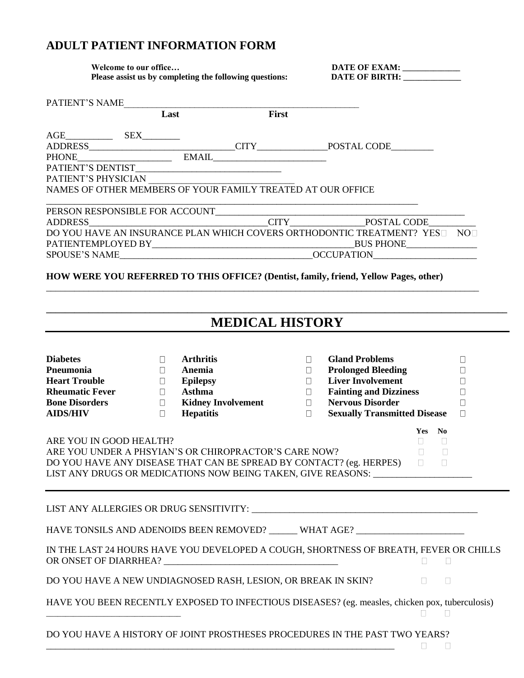## **ADULT PATIENT INFORMATION FORM**

 **Welcome to our office… DATE OF EXAM: \_\_\_\_\_\_\_\_\_\_\_\_\_\_\_** Please assist us by completing the following questions: DATE OF BIRTH:

|                                                                                                                                                                                                                                                                                                      | PATIENT'S NAME<br>Last First                                                                                                                   |                           |                                                                                                                                                                                                                                                                                   |                                                     |  |
|------------------------------------------------------------------------------------------------------------------------------------------------------------------------------------------------------------------------------------------------------------------------------------------------------|------------------------------------------------------------------------------------------------------------------------------------------------|---------------------------|-----------------------------------------------------------------------------------------------------------------------------------------------------------------------------------------------------------------------------------------------------------------------------------|-----------------------------------------------------|--|
|                                                                                                                                                                                                                                                                                                      |                                                                                                                                                |                           |                                                                                                                                                                                                                                                                                   |                                                     |  |
| PATIENT'S PHYSICIAN                                                                                                                                                                                                                                                                                  | PATIENT'S DENTIST<br>NAMES OF OTHER MEMBERS OF YOUR FAMILY TREATED AT OUR OFFICE                                                               |                           |                                                                                                                                                                                                                                                                                   |                                                     |  |
|                                                                                                                                                                                                                                                                                                      |                                                                                                                                                |                           | DO YOU HAVE AN INSURANCE PLAN WHICH COVERS ORTHODONTIC TREATMENT? YES NO                                                                                                                                                                                                          |                                                     |  |
|                                                                                                                                                                                                                                                                                                      |                                                                                                                                                |                           | HOW WERE YOU REFERRED TO THIS OFFICE? (Dentist, family, friend, Yellow Pages, other)                                                                                                                                                                                              |                                                     |  |
|                                                                                                                                                                                                                                                                                                      |                                                                                                                                                | <b>MEDICAL HISTORY</b>    |                                                                                                                                                                                                                                                                                   |                                                     |  |
| <b>Diabetes</b><br><b>P</b> neumonia<br><b>Heart Trouble</b><br><b>Rheumatic Fever</b><br><b>Bone Disorders</b><br><b>AIDS/HIV</b>                                                                                                                                                                   | <b>Arthritis</b><br>$\Box$<br>$\Box$<br>Anemia<br><b>Epilepsy</b><br>$\Box$<br><b>Asthma</b><br>$\Box$<br>$\Box$<br><b>Hepatitis</b><br>$\Box$ | <b>Kidney Involvement</b> | <b>Gland Problems</b><br>$\Box$<br><b>Prolonged Bleeding</b><br>$\Box$<br><b>Liver Involvement</b><br>$\Box$<br><b>Fainting and Dizziness</b><br>$\overline{\phantom{a}}$<br><b>Nervous Disorder</b><br>$\overline{\phantom{a}}$<br>$\Box$<br><b>Sexually Transmitted Disease</b> | $\Box$<br>$\Box$<br>$\Box$<br>□<br>$\Box$<br>$\Box$ |  |
| Yes No<br>ARE YOU IN GOOD HEALTH?<br>$\Box$<br>Ш<br>ARE YOU UNDER A PHSYIAN'S OR CHIROPRACTOR'S CARE NOW?<br>$\Box$<br>$\Box$<br>DO YOU HAVE ANY DISEASE THAT CAN BE SPREAD BY CONTACT? (eg. HERPES) □<br>$\Box$<br>LIST ANY DRUGS OR MEDICATIONS NOW BEING TAKEN, GIVE REASONS: ___________________ |                                                                                                                                                |                           |                                                                                                                                                                                                                                                                                   |                                                     |  |
|                                                                                                                                                                                                                                                                                                      |                                                                                                                                                |                           |                                                                                                                                                                                                                                                                                   |                                                     |  |
|                                                                                                                                                                                                                                                                                                      |                                                                                                                                                |                           | HAVE TONSILS AND ADENOIDS BEEN REMOVED? ______ WHAT AGE? _______________________                                                                                                                                                                                                  |                                                     |  |
|                                                                                                                                                                                                                                                                                                      |                                                                                                                                                |                           | IN THE LAST 24 HOURS HAVE YOU DEVELOPED A COUGH, SHORTNESS OF BREATH, FEVER OR CHILLS                                                                                                                                                                                             | $\mathbf{I}$                                        |  |
|                                                                                                                                                                                                                                                                                                      | DO YOU HAVE A NEW UNDIAGNOSED RASH, LESION, OR BREAK IN SKIN?                                                                                  |                           | $\Box$                                                                                                                                                                                                                                                                            | $\Box$                                              |  |
|                                                                                                                                                                                                                                                                                                      |                                                                                                                                                |                           | HAVE YOU BEEN RECENTLY EXPOSED TO INFECTIOUS DISEASES? (eg. measles, chicken pox, tuberculosis)                                                                                                                                                                                   | П                                                   |  |
|                                                                                                                                                                                                                                                                                                      |                                                                                                                                                |                           | DO YOU HAVE A HISTORY OF JOINT PROSTHESES PROCEDURES IN THE PAST TWO YEARS?<br>$\Box$                                                                                                                                                                                             |                                                     |  |